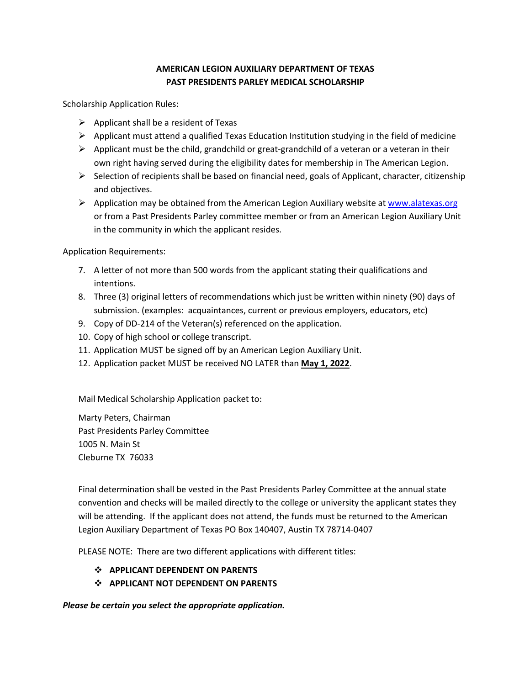## **AMERICAN LEGION AUXILIARY DEPARTMENT OF TEXAS PAST PRESIDENTS PARLEY MEDICAL SCHOLARSHIP**

Scholarship Application Rules:

- $\triangleright$  Applicant shall be a resident of Texas
- $\triangleright$  Applicant must attend a qualified Texas Education Institution studying in the field of medicine
- $\triangleright$  Applicant must be the child, grandchild or great-grandchild of a veteran or a veteran in their own right having served during the eligibility dates for membership in The American Legion.
- $\triangleright$  Selection of recipients shall be based on financial need, goals of Applicant, character, citizenship and objectives.
- $\triangleright$  Application may be obtained from the American Legion Auxiliary website at www.alatexas.org or from a Past Presidents Parley committee member or from an American Legion Auxiliary Unit in the community in which the applicant resides.

Application Requirements:

- 7. A letter of not more than 500 words from the applicant stating their qualifications and intentions.
- 8. Three (3) original letters of recommendations which just be written within ninety (90) days of submission. (examples: acquaintances, current or previous employers, educators, etc)
- 9. Copy of DD-214 of the Veteran(s) referenced on the application.
- 10. Copy of high school or college transcript.
- 11. Application MUST be signed off by an American Legion Auxiliary Unit.
- 12. Application packet MUST be received NO LATER than **May 1, 2022**.

Mail Medical Scholarship Application packet to:

Marty Peters, Chairman Past Presidents Parley Committee 1005 N. Main St Cleburne TX 76033

Final determination shall be vested in the Past Presidents Parley Committee at the annual state convention and checks will be mailed directly to the college or university the applicant states they will be attending. If the applicant does not attend, the funds must be returned to the American Legion Auxiliary Department of Texas PO Box 140407, Austin TX 78714-0407

PLEASE NOTE: There are two different applications with different titles:

- v **APPLICANT DEPENDENT ON PARENTS**
- v **APPLICANT NOT DEPENDENT ON PARENTS**

*Please be certain you select the appropriate application.*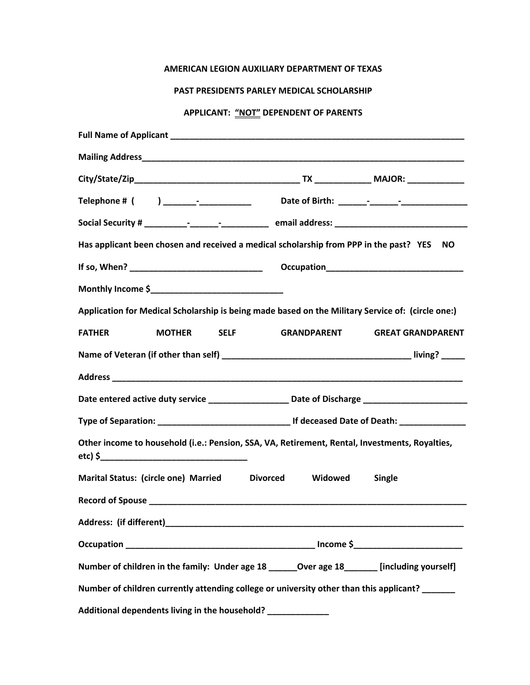## **AMERICAN LEGION AUXILIARY DEPARTMENT OF TEXAS**

## **PAST PRESIDENTS PARLEY MEDICAL SCHOLARSHIP**

## **APPLICANT: "NOT" DEPENDENT OF PARENTS**

|                                               | Has applicant been chosen and received a medical scholarship from PPP in the past? YES<br><b>NO</b> |
|-----------------------------------------------|-----------------------------------------------------------------------------------------------------|
|                                               |                                                                                                     |
|                                               |                                                                                                     |
|                                               | Application for Medical Scholarship is being made based on the Military Service of: (circle one:)   |
| <b>FATHER</b><br><b>MOTHER</b><br><b>SELF</b> | <b>GRANDPARENT</b><br><b>GREAT GRANDPARENT</b>                                                      |
|                                               |                                                                                                     |
|                                               |                                                                                                     |
|                                               | Date entered active duty service ___________________ Date of Discharge _______________________      |
|                                               |                                                                                                     |
|                                               | Other income to household (i.e.: Pension, SSA, VA, Retirement, Rental, Investments, Royalties,      |
| Marital Status: (circle one) Married          | <b>Divorced</b><br>Widowed<br>Single                                                                |
|                                               |                                                                                                     |
|                                               |                                                                                                     |
|                                               |                                                                                                     |
|                                               | Number of children in the family: Under age 18 ______ Over age 18 ______ [including yourself]       |
|                                               | Number of children currently attending college or university other than this applicant? _______     |
|                                               | Additional dependents living in the household? ________________                                     |